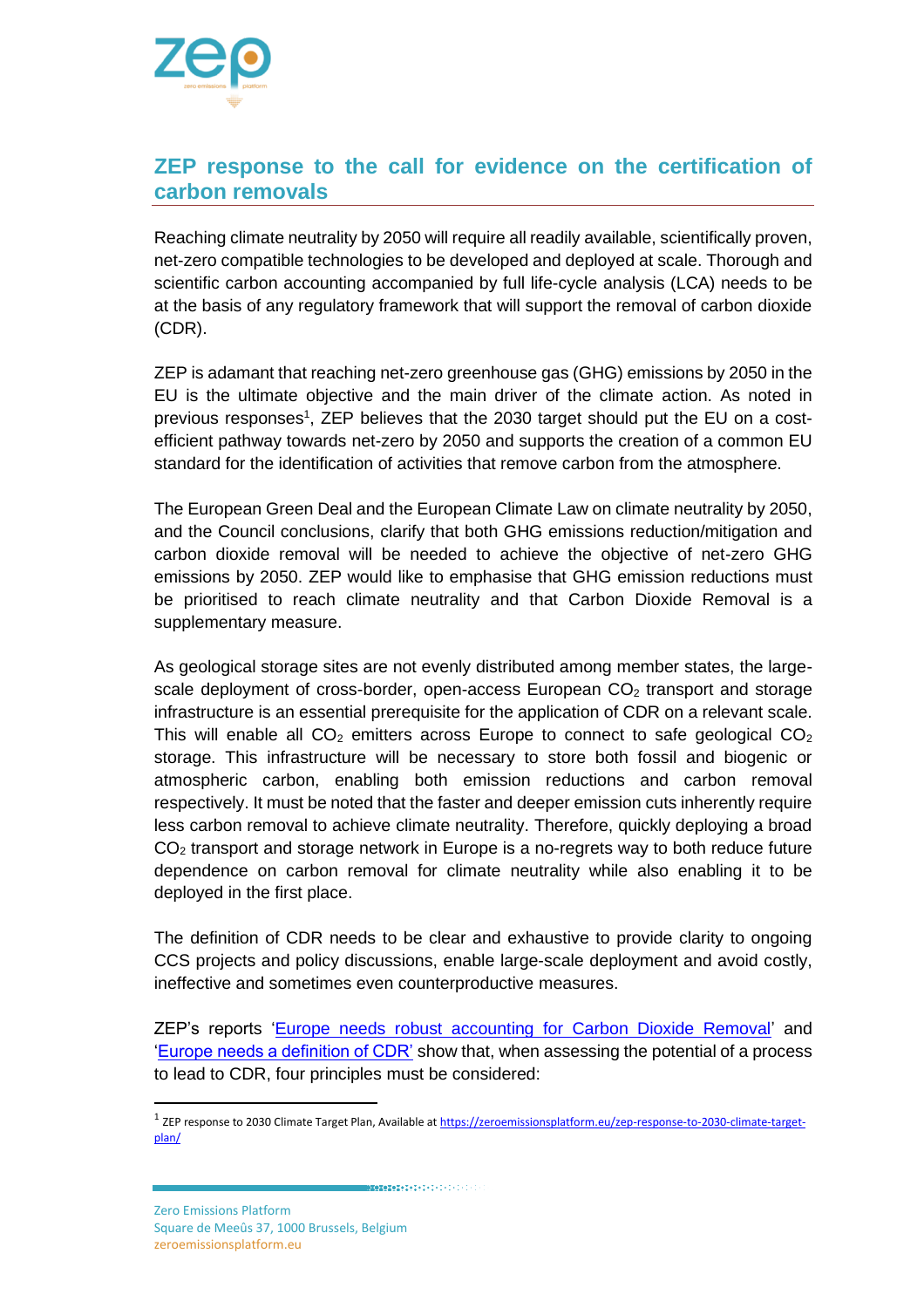

## **ZEP response to the call for evidence on the certification of carbon removals**

Reaching climate neutrality by 2050 will require all readily available, scientifically proven, net-zero compatible technologies to be developed and deployed at scale. Thorough and scientific carbon accounting accompanied by full life-cycle analysis (LCA) needs to be at the basis of any regulatory framework that will support the removal of carbon dioxide (CDR).

ZEP is adamant that reaching net-zero greenhouse gas (GHG) emissions by 2050 in the EU is the ultimate objective and the main driver of the climate action. As noted in previous responses<sup>1</sup>, ZEP believes that the 2030 target should put the EU on a costefficient pathway towards net-zero by 2050 and supports the creation of a common EU standard for the identification of activities that remove carbon from the atmosphere.

The European Green Deal and the European Climate Law on climate neutrality by 2050, and the Council conclusions, clarify that both GHG emissions reduction/mitigation and carbon dioxide removal will be needed to achieve the objective of net-zero GHG emissions by 2050. ZEP would like to emphasise that GHG emission reductions must be prioritised to reach climate neutrality and that Carbon Dioxide Removal is a supplementary measure.

As geological storage sites are not evenly distributed among member states, the largescale deployment of cross-border, open-access European  $CO<sub>2</sub>$  transport and storage infrastructure is an essential prerequisite for the application of CDR on a relevant scale. This will enable all  $CO<sub>2</sub>$  emitters across Europe to connect to safe geological  $CO<sub>2</sub>$ storage. This infrastructure will be necessary to store both fossil and biogenic or atmospheric carbon, enabling both emission reductions and carbon removal respectively. It must be noted that the faster and deeper emission cuts inherently require less carbon removal to achieve climate neutrality. Therefore, quickly deploying a broad  $CO<sub>2</sub>$  transport and storage network in Europe is a no-regrets way to both reduce future dependence on carbon removal for climate neutrality while also enabling it to be deployed in the first place.

The definition of CDR needs to be clear and exhaustive to provide clarity to ongoing CCS projects and policy discussions, enable large-scale deployment and avoid costly, ineffective and sometimes even counterproductive measures.

ZEP's reports ['Europe needs robust accounting for Carbon Dioxide Removal'](https://zeroemissionsplatform.eu/europe-needs-robust-accounting-for-carbon-dioxide-removal/) and ['Europe needs a definition of CDR'](https://zeroemissionsplatform.eu/wp-content/uploads/Europe-needs-a-definition-of-Carbon-Dioxide-Removal-July-2020.pdf) show that, when assessing the potential of a process to lead to CDR, four principles must be considered:

Zero Emissions Platform

Square de Meeûs 37, 1000 Brussels, Belgium [zeroemissionsplatform.eu](http://zeroemissionsplatform.eu/)

<sup>&</sup>lt;sup>1</sup> ZEP response to 2030 Climate Target Plan, Available a[t https://zeroemissionsplatform.eu/zep-response-to-2030-climate-target](https://zeroemissionsplatform.eu/zep-response-to-2030-climate-target-plan/)[plan/](https://zeroemissionsplatform.eu/zep-response-to-2030-climate-target-plan/)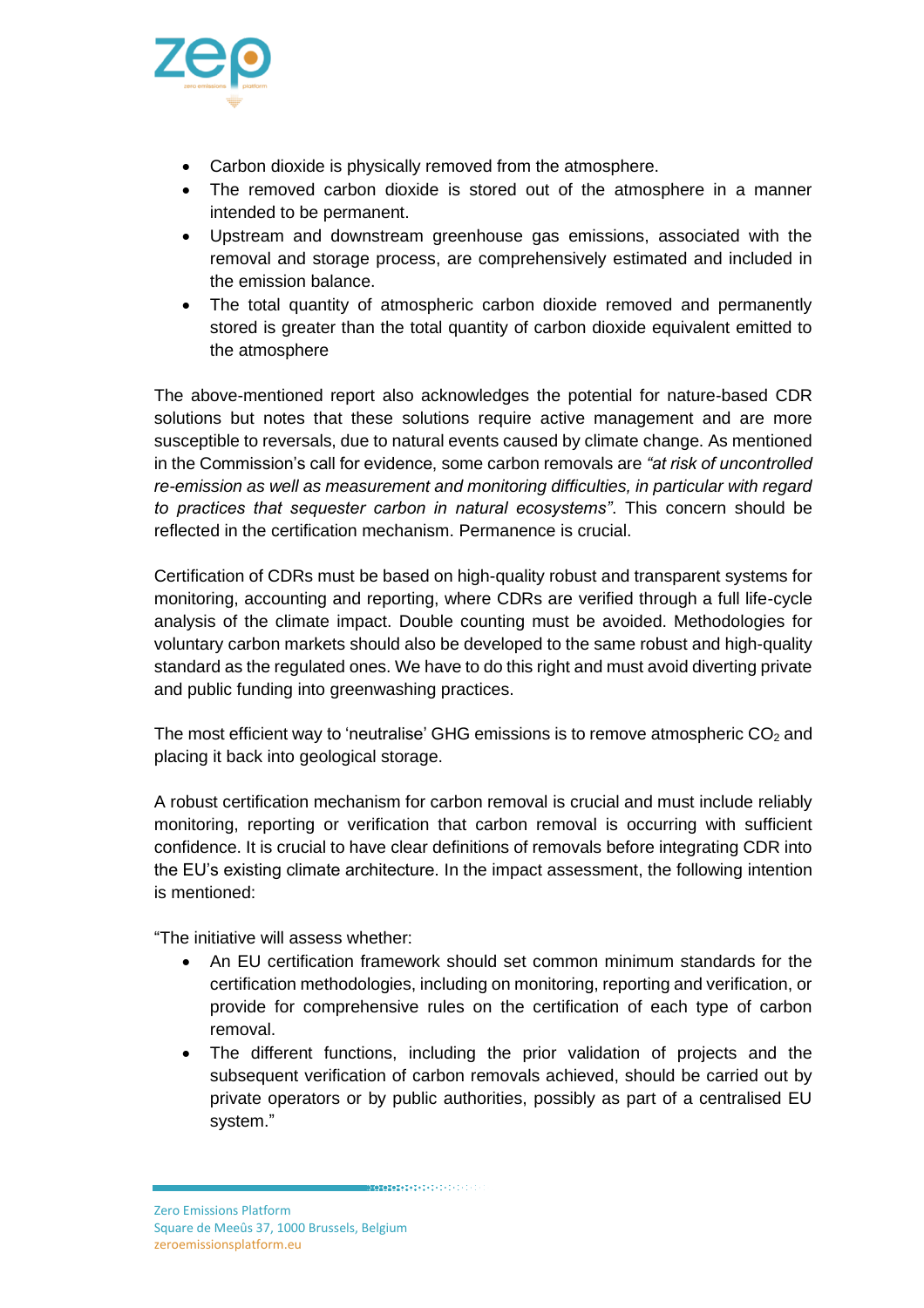

- Carbon dioxide is physically removed from the atmosphere.
- The removed carbon dioxide is stored out of the atmosphere in a manner intended to be permanent.
- Upstream and downstream greenhouse gas emissions, associated with the removal and storage process, are comprehensively estimated and included in the emission balance.
- The total quantity of atmospheric carbon dioxide removed and permanently stored is greater than the total quantity of carbon dioxide equivalent emitted to the atmosphere

The above-mentioned report also acknowledges the potential for nature-based CDR solutions but notes that these solutions require active management and are more susceptible to reversals, due to natural events caused by climate change. As mentioned in the Commission's call for evidence, some carbon removals are *"at risk of uncontrolled re-emission as well as measurement and monitoring difficulties, in particular with regard to practices that sequester carbon in natural ecosystems"*. This concern should be reflected in the certification mechanism. Permanence is crucial.

Certification of CDRs must be based on high-quality robust and transparent systems for monitoring, accounting and reporting, where CDRs are verified through a full life-cycle analysis of the climate impact. Double counting must be avoided. Methodologies for voluntary carbon markets should also be developed to the same robust and high-quality standard as the regulated ones. We have to do this right and must avoid diverting private and public funding into greenwashing practices.

The most efficient way to 'neutralise' GHG emissions is to remove atmospheric  $CO<sub>2</sub>$  and placing it back into geological storage.

A robust certification mechanism for carbon removal is crucial and must include reliably monitoring, reporting or verification that carbon removal is occurring with sufficient confidence. It is crucial to have clear definitions of removals before integrating CDR into the EU's existing climate architecture. In the impact assessment, the following intention is mentioned:

"The initiative will assess whether:

- An EU certification framework should set common minimum standards for the certification methodologies, including on monitoring, reporting and verification, or provide for comprehensive rules on the certification of each type of carbon removal.
- The different functions, including the prior validation of projects and the subsequent verification of carbon removals achieved, should be carried out by private operators or by public authorities, possibly as part of a centralised EU system."

**MARK AND ARRESTS OF A DEADLE AND RESIDENT** 

Zero Emissions Platform Square de Meeûs 37, 1000 Brussels, Belgium [zeroemissionsplatform.eu](http://zeroemissionsplatform.eu/)